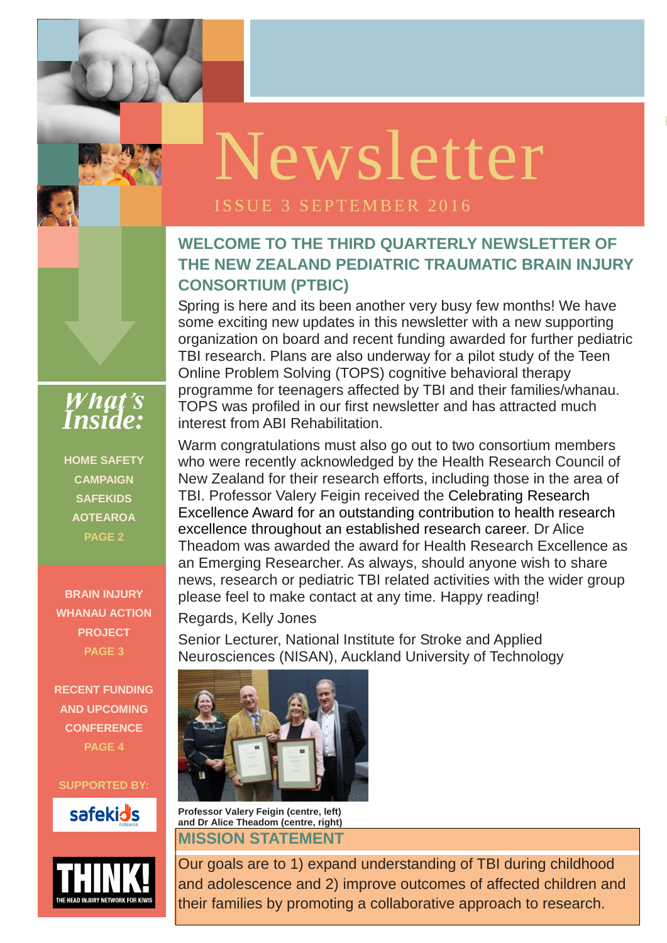**ISSUE 1 OCTOBER** 

### **WELCOME TO THE THIRD QUARTERLY NEWSLETTER OF THE NEW ZEALAND PEDIATRIC TRAUMATIC BRAIN INJURY CONSORTIUM (PTBIC)**

Spring is here and its been another very busy few months! We have some exciting new updates in this newsletter with a new supporting organization on board and recent funding awarded for further pediatric TBI research. Plans are also underway for a pilot study of the Teen Online Problem Solving (TOPS) cognitive behavioral therapy programme for teenagers affected by TBI and their families/whanau. TOPS was profiled in our first newsletter and has attracted much interest from ABI Rehabilitation.

*LOGO* Warm congratulations must also go out to two consortium members who were recently acknowledged by the Health Research Council of New Zealand for their research efforts, including those in the area of TBI. Professor Valery Feigin received the Celebrating Research Excellence Award for an outstanding contribution to health research excellence throughout an established research career. Dr Alice Theadom was awarded the award for Health Research Excellence as an Emerging Researcher. As always, should anyone wish to share news, research or pediatric TBI related activities with the wider group please feel to make contact at any time. Happy reading!

Regards, Kelly Jones

Senior Lecturer, National Institute for Stroke and Applied Neurosciences (NISAN), Auckland University of Technology



**Professor Valery Feigin (centre, left) and Dr Alice Theadom (centre, right)**

#### **MISSION STATEMENT**



Our goals are to 1) expand understanding of TBI during childhood and adolescence and 2) improve outcomes of affected children and their families by promoting a collaborative approach to research.



**HOME SAFETY CAMPAIGN SAFEKIDS AOTEAROA PAGE 2**

**BRAIN INJURY WHANAU ACTION PROJECT PAGE 3**

**RECENT FUNDING AND UPCOMING CONFERENCE PAGE 4**

#### **SUPPORTED BY:**



# Newsletter

#### ISSUE 3 SEPTEMBER 2016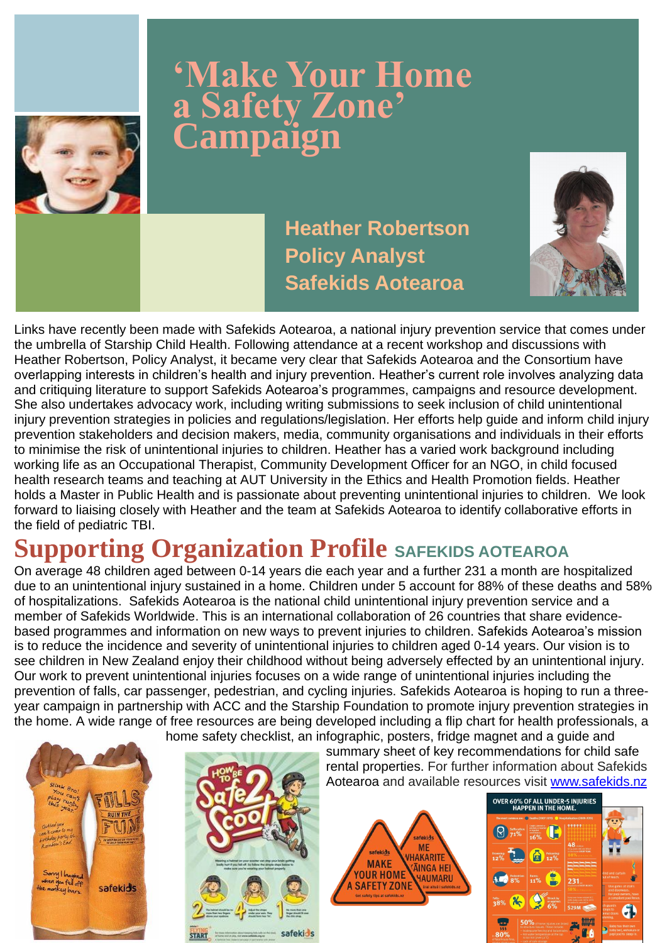Links have recently been made with Safekids Aotearoa, a national injury prevention service that comes under the umbrella of Starship Child Health. Following attendance at a recent workshop and discussions with Heather Robertson, Policy Analyst, it became very clear that Safekids Aotearoa and the Consortium have overlapping interests in children's health and injury prevention. Heather's current role involves analyzing data and critiquing literature to support Safekids Aotearoa's programmes, campaigns and resource development. She also undertakes advocacy work, including writing submissions to seek inclusion of child unintentional injury prevention strategies in policies and regulations/legislation. Her efforts help guide and inform child injury prevention stakeholders and decision makers, media, community organisations and individuals in their efforts to minimise the risk of unintentional injuries to children. Heather has a varied work background including working life as an Occupational Therapist, Community Development Officer for an NGO, in child focused health research teams and teaching at AUT University in the Ethics and Health Promotion fields. Heather holds a Master in Public Health and is passionate about preventing unintentional injuries to children. We look forward to liaising closely with Heather and the team at Safekids Aotearoa to identify collaborative efforts in the field of pediatric TBI.

On average 48 children aged between 0-14 years die each year and a further 231 a month are hospitalized due to an unintentional injury sustained in a home. Children under 5 account for 88% of these deaths and 58% of hospitalizations. Safekids Aotearoa is the national child unintentional injury prevention service and a member of Safekids Worldwide. This is an international collaboration of 26 countries that share evidencebased programmes and information on new ways to prevent injuries to children. Safekids Aotearoa's mission is to reduce the incidence and severity of unintentional injuries to children aged 0-14 years. Our vision is to see children in New Zealand enjoy their childhood without being adversely effected by an unintentional injury. Our work to prevent unintentional injuries focuses on a wide range of unintentional injuries including the prevention of falls, car passenger, pedestrian, and cycling injuries. Safekids Aotearoa is hoping to run a threeyear campaign in partnership with ACC and the Starship Foundation to promote injury prevention strategies in the home. A wide range of free resources are being developed including a flip chart for health professionals, a home safety checklist, an infographic, posters, fridge magnet and a guide and summary sheet of key recommendations for child safe rental properties. For further information about Safekids Aotearoa and available resources visit [www.safekids.nz](http://www.safekids.nz/)

> **afekids ME**

'HAKARITE

**AINGA HEI** 

**HAUMARU** 

safekids

**MAKE** 

**YOUR HOME** 

**SAFETY ZONE** 







### **'Make Your Home a Safety Zone' Campaign**



### **Heather Robertson Policy Analyst Safekids Aotearoa**



**Advisor**

### **Supporting Organization Profile** SAFEKIDS AOTEAROA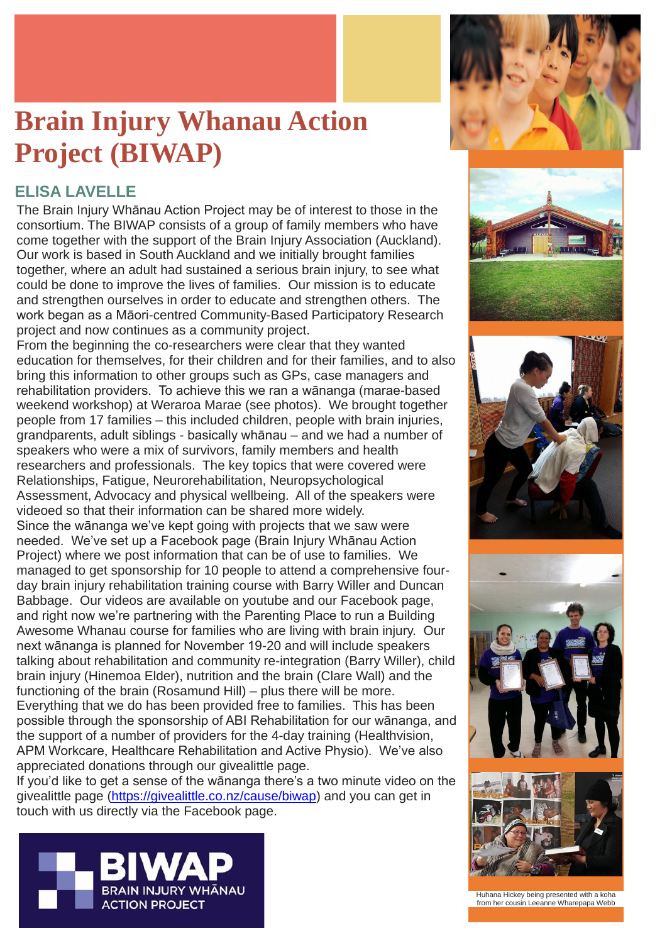The Brain Injury Whānau Action Project may be of interest to those in the consortium. The BIWAP consists of a group of family members who have come together with the support of the Brain Injury Association (Auckland). Our work is based in South Auckland and we initially brought families together, where an adult had sustained a serious brain injury, to see what could be done to improve the lives of families. Our mission is to educate and strengthen ourselves in order to educate and strengthen others. The work began as a Māori-centred Community-Based Participatory Research project and now continues as a community project.

From the beginning the co-researchers were clear that they wanted education for themselves, for their children and for their families, and to also bring this information to other groups such as GPs, case managers and rehabilitation providers. To achieve this we ran a wānanga (marae-based weekend workshop) at Weraroa Marae (see photos). We brought together people from 17 families – this included children, people with brain injuries, grandparents, adult siblings - basically whānau – and we had a number of speakers who were a mix of survivors, family members and health researchers and professionals. The key topics that were covered were Relationships, Fatigue, Neurorehabilitation, Neuropsychological Assessment, Advocacy and physical wellbeing. All of the speakers were videoed so that their information can be shared more widely. Since the wānanga we've kept going with projects that we saw were needed. We've set up a Facebook page (Brain Injury Whānau Action Project) where we post information that can be of use to families. We managed to get sponsorship for 10 people to attend a comprehensive fourday brain injury rehabilitation training course with Barry Willer and Duncan Babbage. Our videos are available on youtube and our Facebook page, and right now we're partnering with the Parenting Place to run a Building Awesome Whanau course for families who are living with brain injury. Our next wānanga is planned for November 19-20 and will include speakers talking about rehabilitation and community re-integration (Barry Willer), child brain injury (Hinemoa Elder), nutrition and the brain (Clare Wall) and the functioning of the brain (Rosamund Hill) – plus there will be more. Everything that we do has been provided free to families. This has been possible through the sponsorship of ABI Rehabilitation for our wānanga, and the support of a number of providers for the 4-day training (Healthvision, APM Workcare, Healthcare Rehabilitation and Active Physio). We've also appreciated donations through our givealittle page. If you'd like to get a sense of the wānanga there's a two minute video on the givealittle page [\(https://givealittle.co.nz/cause/biwap\)](https://givealittle.co.nz/cause/biwap) and you can get in touch with us directly via the Facebook page.











Huhana Hickey being presented with a koha from her cousin Leeanne Wharepapa Webb

### **Brain Injury Whanau Action Project (BIWAP)**

### **ELISA LAVELLE**